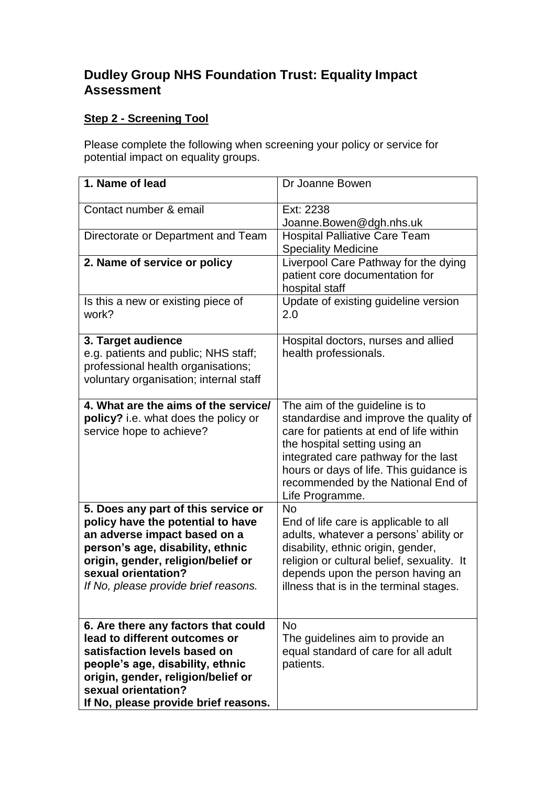## **Dudley Group NHS Foundation Trust: Equality Impact Assessment**

## **Step 2 - Screening Tool**

Please complete the following when screening your policy or service for potential impact on equality groups.

| 1. Name of lead                                                                                                                                                                                                                                   | Dr Joanne Bowen                                                                                                                                                                                                                                                                                  |
|---------------------------------------------------------------------------------------------------------------------------------------------------------------------------------------------------------------------------------------------------|--------------------------------------------------------------------------------------------------------------------------------------------------------------------------------------------------------------------------------------------------------------------------------------------------|
| Contact number & email                                                                                                                                                                                                                            | Ext: 2238<br>Joanne.Bowen@dgh.nhs.uk                                                                                                                                                                                                                                                             |
| Directorate or Department and Team                                                                                                                                                                                                                | <b>Hospital Palliative Care Team</b><br><b>Speciality Medicine</b>                                                                                                                                                                                                                               |
| 2. Name of service or policy                                                                                                                                                                                                                      | Liverpool Care Pathway for the dying<br>patient core documentation for<br>hospital staff                                                                                                                                                                                                         |
| Is this a new or existing piece of<br>work?                                                                                                                                                                                                       | Update of existing guideline version<br>2.0                                                                                                                                                                                                                                                      |
| 3. Target audience<br>e.g. patients and public; NHS staff;<br>professional health organisations;<br>voluntary organisation; internal staff                                                                                                        | Hospital doctors, nurses and allied<br>health professionals.                                                                                                                                                                                                                                     |
| 4. What are the aims of the service/<br>policy? i.e. what does the policy or<br>service hope to achieve?                                                                                                                                          | The aim of the guideline is to<br>standardise and improve the quality of<br>care for patients at end of life within<br>the hospital setting using an<br>integrated care pathway for the last<br>hours or days of life. This guidance is<br>recommended by the National End of<br>Life Programme. |
| 5. Does any part of this service or<br>policy have the potential to have<br>an adverse impact based on a<br>person's age, disability, ethnic<br>origin, gender, religion/belief or<br>sexual orientation?<br>If No, please provide brief reasons. | <b>No</b><br>End of life care is applicable to all<br>adults, whatever a persons' ability or<br>disability, ethnic origin, gender,<br>religion or cultural belief, sexuality. It<br>depends upon the person having an<br>illness that is in the terminal stages.                                 |
| 6. Are there any factors that could<br>lead to different outcomes or<br>satisfaction levels based on<br>people's age, disability, ethnic<br>origin, gender, religion/belief or<br>sexual orientation?<br>If No, please provide brief reasons.     | <b>No</b><br>The guidelines aim to provide an<br>equal standard of care for all adult<br>patients.                                                                                                                                                                                               |